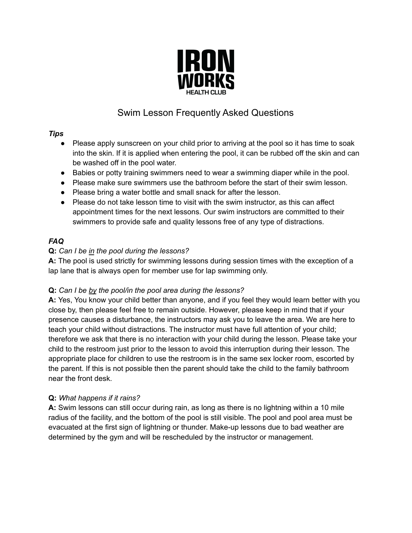

# Swim Lesson Frequently Asked Questions

### *Tips*

- Please apply sunscreen on your child prior to arriving at the pool so it has time to soak into the skin. If it is applied when entering the pool, it can be rubbed off the skin and can be washed off in the pool water.
- Babies or potty training swimmers need to wear a swimming diaper while in the pool.
- Please make sure swimmers use the bathroom before the start of their swim lesson.
- Please bring a water bottle and small snack for after the lesson.
- Please do not take lesson time to visit with the swim instructor, as this can affect appointment times for the next lessons. Our swim instructors are committed to their swimmers to provide safe and quality lessons free of any type of distractions.

## *FAQ*

## **Q:** *Can I be in the pool during the lessons?*

**A:** The pool is used strictly for swimming lessons during session times with the exception of a lap lane that is always open for member use for lap swimming only.

## **Q:** *Can I be by the pool/in the pool area during the lessons?*

**A:** Yes, You know your child better than anyone, and if you feel they would learn better with you close by, then please feel free to remain outside. However, please keep in mind that if your presence causes a disturbance, the instructors may ask you to leave the area. We are here to teach your child without distractions. The instructor must have full attention of your child; therefore we ask that there is no interaction with your child during the lesson. Please take your child to the restroom just prior to the lesson to avoid this interruption during their lesson. The appropriate place for children to use the restroom is in the same sex locker room, escorted by the parent. If this is not possible then the parent should take the child to the family bathroom near the front desk.

## **Q:** *What happens if it rains?*

**A:** Swim lessons can still occur during rain, as long as there is no lightning within a 10 mile radius of the facility, and the bottom of the pool is still visible. The pool and pool area must be evacuated at the first sign of lightning or thunder. Make-up lessons due to bad weather are determined by the gym and will be rescheduled by the instructor or management.